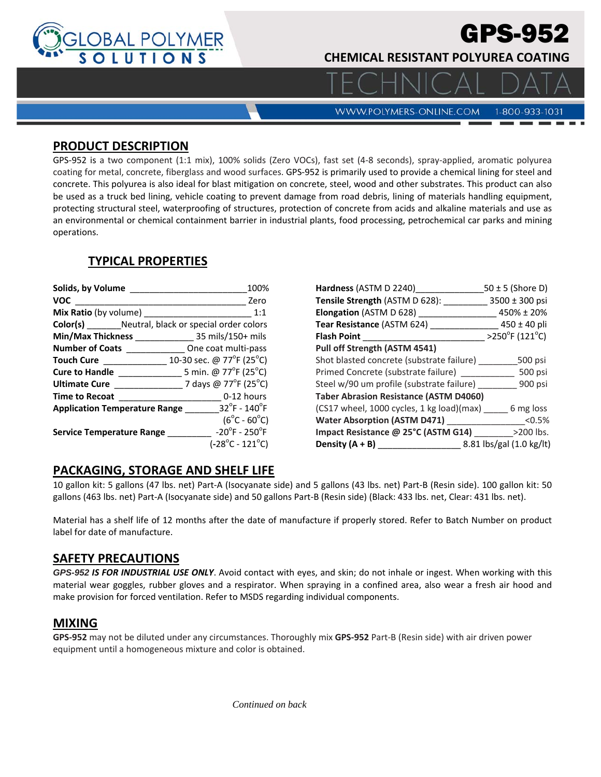

# GPS-952

**CHEMICAL RESISTANT POLYUREA COATING** 

**WWW.POLYMERS-ONLINE.COM** 

#### 1-800-933-1031

### **PRODUCT DESCRIPTION**

GPS‐952 is a two component (1:1 mix), 100% solids (Zero VOCs), fast set (4‐8 seconds), spray‐applied, aromatic polyurea coating for metal, concrete, fiberglass and wood surfaces. GPS‐952 is primarily used to provide a chemical lining for steel and concrete. This polyurea is also ideal for blast mitigation on concrete, steel, wood and other substrates. This product can also be used as a truck bed lining, vehicle coating to prevent damage from road debris, lining of materials handling equipment, protecting structural steel, waterproofing of structures, protection of concrete from acids and alkaline materials and use as an environmental or chemical containment barrier in industrial plants, food processing, petrochemical car parks and mining operations.

## **TYPICAL PROPERTIES**

| Solids, by Volume                                      | 100%                                                                                                  |
|--------------------------------------------------------|-------------------------------------------------------------------------------------------------------|
| <b>VOC</b>                                             | Zero                                                                                                  |
| Mix Ratio (by volume)                                  | 1:1                                                                                                   |
| <b>Color(s)</b> Neutral, black or special order colors |                                                                                                       |
| Min/Max Thickness                                      | 35 mils/150+ mils                                                                                     |
| <b>Number of Coats</b>                                 | One coat multi-pass                                                                                   |
| <b>Touch Cure</b>                                      | 10-30 sec. @ 77 $\mathrm{P}$ F (25 $\mathrm{^{\circ}C}$ )                                             |
| <b>Cure to Handle</b>                                  | 5 min. @ 77°F (25°C)                                                                                  |
| <b>Ultimate Cure</b>                                   | 7 days @ 77°F (25°C)                                                                                  |
| <b>Time to Recoat</b>                                  | 0-12 hours                                                                                            |
| <b>Application Temperature Range</b>                   | $32^{\circ}$ F - 140 $^{\circ}$ F                                                                     |
| <b>Service Temperature Range</b>                       | $(6^{\circ}C - 60^{\circ}C)$<br>$-20^{\circ}$ F - 250 $^{\circ}$ F<br>$(-28^{\circ}C - 121^{\circ}C)$ |

| Hardness (ASTM D 2240)                        | $50 \pm 5$ (Shore D)                |
|-----------------------------------------------|-------------------------------------|
| Tensile Strength (ASTM D 628):                | $3500 \pm 300$ psi                  |
| <b>Elongation (ASTM D 628)</b>                | 450% ± 20%                          |
| Tear Resistance (ASTM 624)                    | $450 \pm 40$ pli                    |
| <b>Flash Point</b>                            | $>250^{\circ}$ F (121 $^{\circ}$ C) |
| Pull off Strength (ASTM 4541)                 |                                     |
| Shot blasted concrete (substrate failure)     | 500 psi                             |
| Primed Concrete (substrate failure)           | 500 psi                             |
| Steel w/90 um profile (substrate failure) _   | 900 psi                             |
| <b>Taber Abrasion Resistance (ASTM D4060)</b> |                                     |
| (CS17 wheel, 1000 cycles, 1 kg load)(max)     | 6 mg loss                           |
| <b>Water Absorption (ASTM D471)</b>           | < 0.5%                              |
| Impact Resistance @ 25°C (ASTM G14)           | >200 lbs.                           |
| Density (A + B)                               | 8.81 lbs/gal (1.0 kg/lt)            |

## **PACKAGING, STORAGE AND SHELF LIFE**

10 gallon kit: 5 gallons (47 lbs. net) Part‐A (Isocyanate side) and 5 gallons (43 lbs. net) Part‐B (Resin side). 100 gallon kit: 50 gallons (463 lbs. net) Part‐A (Isocyanate side) and 50 gallons Part‐B (Resin side) (Black: 433 lbs. net, Clear: 431 lbs. net).

Material has a shelf life of 12 months after the date of manufacture if properly stored. Refer to Batch Number on product label for date of manufacture.

#### **SAFETY PRECAUTIONS**

*GPS-952 IS FOR INDUSTRIAL USE ONLY*. Avoid contact with eyes, and skin; do not inhale or ingest. When working with this material wear goggles, rubber gloves and a respirator. When spraying in a confined area, also wear a fresh air hood and make provision for forced ventilation. Refer to MSDS regarding individual components.

## **MIXING**

**GPS‐952** may not be diluted under any circumstances. Thoroughly mix **GPS‐952** Part‐B (Resin side) with air driven power equipment until a homogeneous mixture and color is obtained.